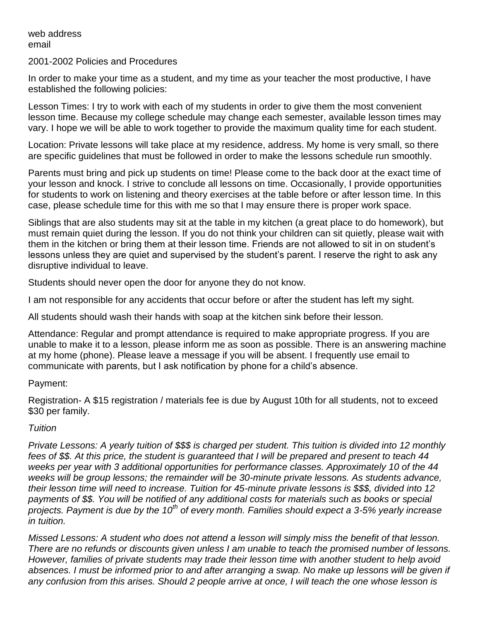web address email

2001-2002 Policies and Procedures

In order to make your time as a student, and my time as your teacher the most productive, I have established the following policies:

Lesson Times: I try to work with each of my students in order to give them the most convenient lesson time. Because my college schedule may change each semester, available lesson times may vary. I hope we will be able to work together to provide the maximum quality time for each student.

Location: Private lessons will take place at my residence, address. My home is very small, so there are specific guidelines that must be followed in order to make the lessons schedule run smoothly.

Parents must bring and pick up students on time! Please come to the back door at the exact time of your lesson and knock. I strive to conclude all lessons on time. Occasionally, I provide opportunities for students to work on listening and theory exercises at the table before or after lesson time. In this case, please schedule time for this with me so that I may ensure there is proper work space.

Siblings that are also students may sit at the table in my kitchen (a great place to do homework), but must remain quiet during the lesson. If you do not think your children can sit quietly, please wait with them in the kitchen or bring them at their lesson time. Friends are not allowed to sit in on student's lessons unless they are quiet and supervised by the student's parent. I reserve the right to ask any disruptive individual to leave.

Students should never open the door for anyone they do not know.

I am not responsible for any accidents that occur before or after the student has left my sight.

All students should wash their hands with soap at the kitchen sink before their lesson.

Attendance: Regular and prompt attendance is required to make appropriate progress. If you are unable to make it to a lesson, please inform me as soon as possible. There is an answering machine at my home (phone). Please leave a message if you will be absent. I frequently use email to communicate with parents, but I ask notification by phone for a child's absence.

## Payment:

Registration- A \$15 registration / materials fee is due by August 10th for all students, not to exceed \$30 per family.

## *Tuition*

*Private Lessons: A yearly tuition of \$\$\$ is charged per student. This tuition is divided into 12 monthly fees of \$\$. At this price, the student is guaranteed that I will be prepared and present to teach 44 weeks per year with 3 additional opportunities for performance classes. Approximately 10 of the 44 weeks will be group lessons; the remainder will be 30-minute private lessons. As students advance, their lesson time will need to increase. Tuition for 45-minute private lessons is \$\$\$, divided into 12 payments of \$\$. You will be notified of any additional costs for materials such as books or special projects. Payment is due by the 10th of every month. Families should expect a 3-5% yearly increase in tuition.* 

*Missed Lessons: A student who does not attend a lesson will simply miss the benefit of that lesson. There are no refunds or discounts given unless I am unable to teach the promised number of lessons. However, families of private students may trade their lesson time with another student to help avoid absences. I must be informed prior to and after arranging a swap. No make up lessons will be given if any confusion from this arises. Should 2 people arrive at once, I will teach the one whose lesson is*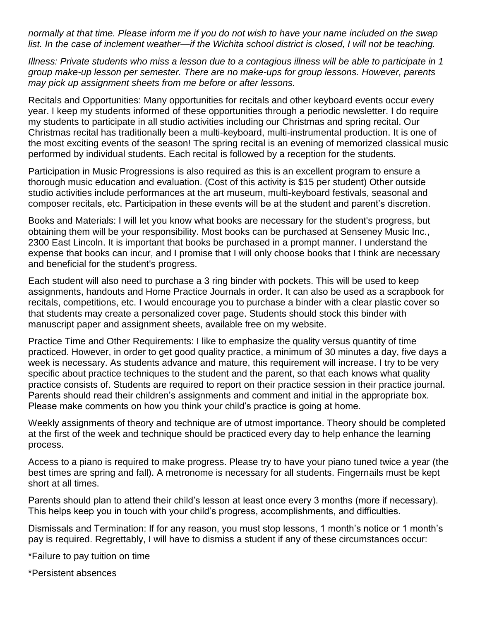*normally at that time. Please inform me if you do not wish to have your name included on the swap list. In the case of inclement weather—if the Wichita school district is closed, I will not be teaching.* 

*Illness: Private students who miss a lesson due to a contagious illness will be able to participate in 1 group make-up lesson per semester. There are no make-ups for group lessons. However, parents may pick up assignment sheets from me before or after lessons.* 

Recitals and Opportunities: Many opportunities for recitals and other keyboard events occur every year. I keep my students informed of these opportunities through a periodic newsletter. I do require my students to participate in all studio activities including our Christmas and spring recital. Our Christmas recital has traditionally been a multi-keyboard, multi-instrumental production. It is one of the most exciting events of the season! The spring recital is an evening of memorized classical music performed by individual students. Each recital is followed by a reception for the students.

Participation in Music Progressions is also required as this is an excellent program to ensure a thorough music education and evaluation. (Cost of this activity is \$15 per student) Other outside studio activities include performances at the art museum, multi-keyboard festivals, seasonal and composer recitals, etc. Participation in these events will be at the student and parent's discretion.

Books and Materials: I will let you know what books are necessary for the student's progress, but obtaining them will be your responsibility. Most books can be purchased at Senseney Music Inc., 2300 East Lincoln. It is important that books be purchased in a prompt manner. I understand the expense that books can incur, and I promise that I will only choose books that I think are necessary and beneficial for the student's progress.

Each student will also need to purchase a 3 ring binder with pockets. This will be used to keep assignments, handouts and Home Practice Journals in order. It can also be used as a scrapbook for recitals, competitions, etc. I would encourage you to purchase a binder with a clear plastic cover so that students may create a personalized cover page. Students should stock this binder with manuscript paper and assignment sheets, available free on my website.

Practice Time and Other Requirements: I like to emphasize the quality versus quantity of time practiced. However, in order to get good quality practice, a minimum of 30 minutes a day, five days a week is necessary. As students advance and mature, this requirement will increase. I try to be very specific about practice techniques to the student and the parent, so that each knows what quality practice consists of. Students are required to report on their practice session in their practice journal. Parents should read their children's assignments and comment and initial in the appropriate box. Please make comments on how you think your child's practice is going at home.

Weekly assignments of theory and technique are of utmost importance. Theory should be completed at the first of the week and technique should be practiced every day to help enhance the learning process.

Access to a piano is required to make progress. Please try to have your piano tuned twice a year (the best times are spring and fall). A metronome is necessary for all students. Fingernails must be kept short at all times.

Parents should plan to attend their child's lesson at least once every 3 months (more if necessary). This helps keep you in touch with your child's progress, accomplishments, and difficulties.

Dismissals and Termination: If for any reason, you must stop lessons, 1 month's notice or 1 month's pay is required. Regrettably, I will have to dismiss a student if any of these circumstances occur:

\*Failure to pay tuition on time

\*Persistent absences